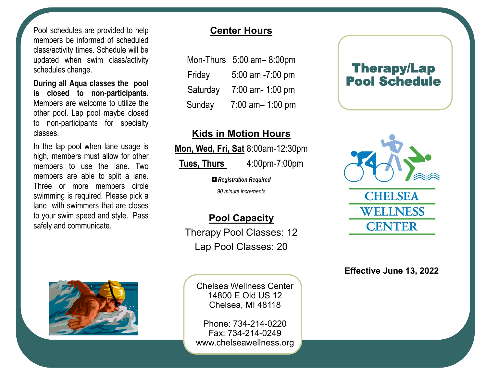Pool schedules are provided to help members be informed of scheduled class/activity times. Schedule will be updated when swim class/activity schedules change.

**During all Aqua classes the pool is closed to non-participants.**  Members are welcome to utilize the other pool. Lap pool maybe closed to non-participants for specialty classes.

In the lap pool when lane usage is high, members must allow for other members to use the lane. Two members are able to split a lane. Three or more members circle swimming is required. Please pick a lane with swimmers that are closes to your swim speed and style. Pass safely and communicate.



## **Center Hours**

|          | Mon-Thurs $5:00$ am- $8:00$ pm |
|----------|--------------------------------|
| Friday   | 5:00 am -7:00 pm               |
| Saturday | 7:00 am- 1:00 pm               |
| Sunday   | 7:00 am-1:00 pm                |

## **Kids in Motion Hours**

**Mon, Wed, Fri, Sat** 8:00am-12:30pm

**Tues, Thurs** 4:00pm-7:00pm

*◘Registration Required*

*90 minute increments*

## **Pool Capacity**

Therapy Pool Classes: 12 Lap Pool Classes: 20

> Chelsea Wellness Center 14800 E Old US 12 Chelsea, MI 48118

Phone: 734-214-0220 Fax: 734-214-0249 www.chelseawellness.org

## Therapy/Lap Pool Schedule



**Effective June 13, 2022**